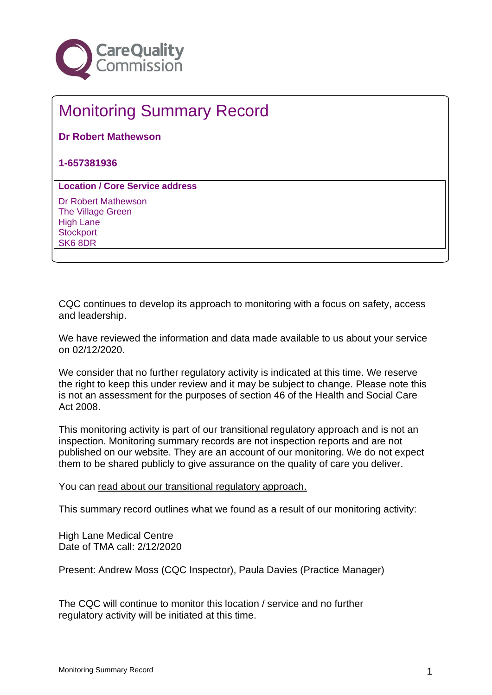

## Monitoring Summary Record

**Dr Robert Mathewson**

**1-657381936**

**Location / Core Service address**

Dr Robert Mathewson The Village Green High Lane **Stockport** SK6 8DR

CQC continues to develop its approach to monitoring with a focus on safety, access and leadership.

We have reviewed the information and data made available to us about your service on 02/12/2020.

We consider that no further regulatory activity is indicated at this time. We reserve the right to keep this under review and it may be subject to change. Please note this is not an assessment for the purposes of section 46 of the Health and Social Care Act 2008.

This monitoring activity is part of our transitional regulatory approach and is not an inspection. Monitoring summary records are not inspection reports and are not published on our website. They are an account of our monitoring. We do not expect them to be shared publicly to give assurance on the quality of care you deliver.

You can [read about our transitional regulatory approach.](http://www.cqc.org.uk/TransitionalMonitoringApproach)

This summary record outlines what we found as a result of our monitoring activity:

High Lane Medical Centre Date of TMA call: 2/12/2020

Present: Andrew Moss (CQC Inspector), Paula Davies (Practice Manager)

The CQC will continue to monitor this location / service and no further regulatory activity will be initiated at this time.